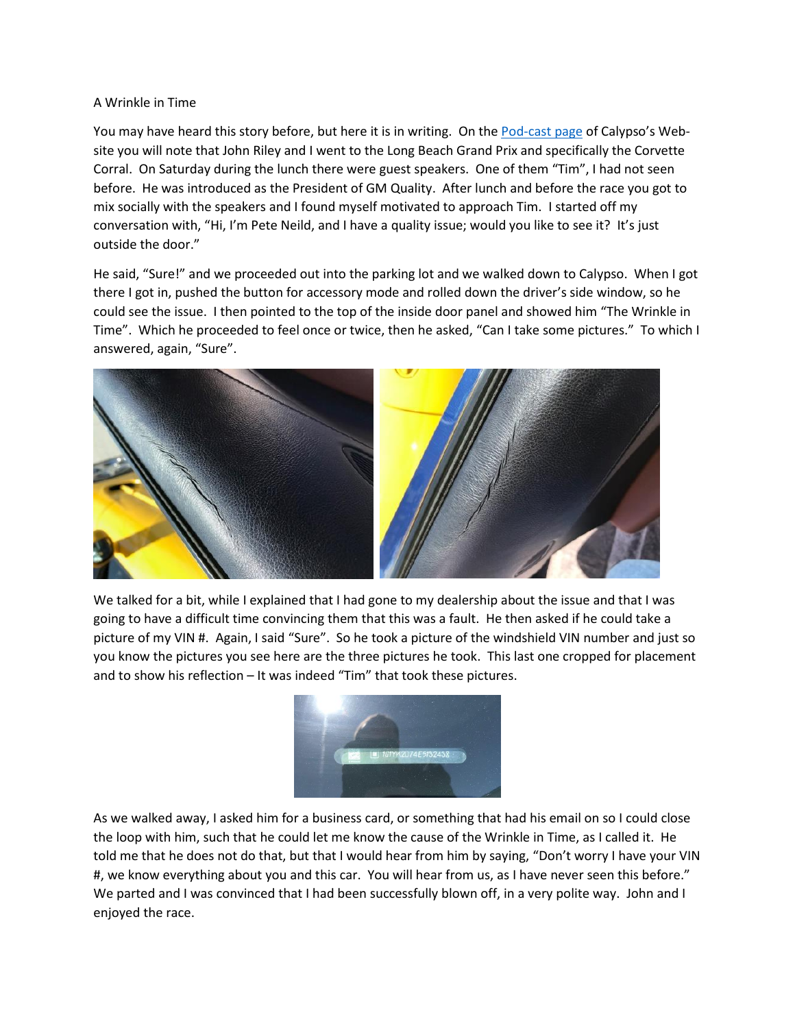## A Wrinkle in Time

You may have heard this story before, but here it is in writing. On the [Pod-cast page](https://www.calypso-c74pjn.com/pod-casts) of Calypso's Website you will note that John Riley and I went to the Long Beach Grand Prix and specifically the Corvette Corral. On Saturday during the lunch there were guest speakers. One of them "Tim", I had not seen before. He was introduced as the President of GM Quality. After lunch and before the race you got to mix socially with the speakers and I found myself motivated to approach Tim. I started off my conversation with, "Hi, I'm Pete Neild, and I have a quality issue; would you like to see it? It's just outside the door."

He said, "Sure!" and we proceeded out into the parking lot and we walked down to Calypso. When I got there I got in, pushed the button for accessory mode and rolled down the driver's side window, so he could see the issue. I then pointed to the top of the inside door panel and showed him "The Wrinkle in Time". Which he proceeded to feel once or twice, then he asked, "Can I take some pictures." To which I answered, again, "Sure".



We talked for a bit, while I explained that I had gone to my dealership about the issue and that I was going to have a difficult time convincing them that this was a fault. He then asked if he could take a picture of my VIN #. Again, I said "Sure". So he took a picture of the windshield VIN number and just so you know the pictures you see here are the three pictures he took. This last one cropped for placement and to show his reflection – It was indeed "Tim" that took these pictures.



As we walked away, I asked him for a business card, or something that had his email on so I could close the loop with him, such that he could let me know the cause of the Wrinkle in Time, as I called it. He told me that he does not do that, but that I would hear from him by saying, "Don't worry I have your VIN #, we know everything about you and this car. You will hear from us, as I have never seen this before." We parted and I was convinced that I had been successfully blown off, in a very polite way. John and I enjoyed the race.